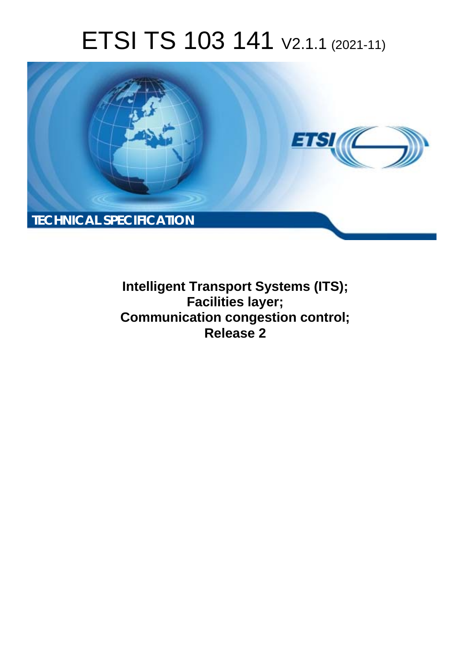# ETSI TS 103 141 V2.1.1 (2021-11)



**Intelligent Transport Systems (ITS); Facilities layer; Communication congestion control; Release 2**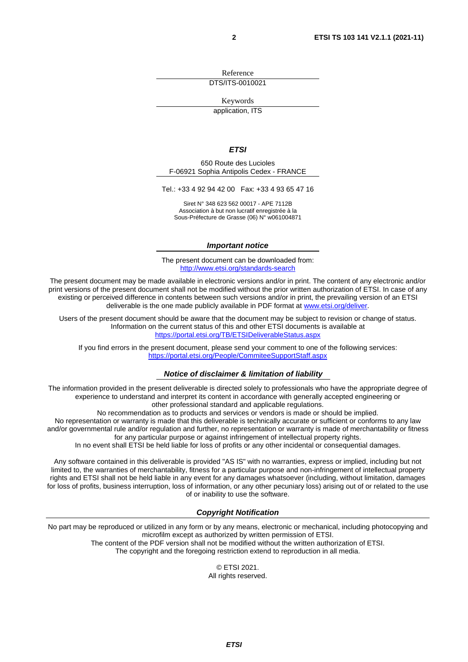Reference

DTS/ITS-0010021

Keywords

application, ITS

#### *ETSI*

650 Route des Lucioles F-06921 Sophia Antipolis Cedex - FRANCE

Tel.: +33 4 92 94 42 00 Fax: +33 4 93 65 47 16

Siret N° 348 623 562 00017 - APE 7112B Association à but non lucratif enregistrée à la Sous-Préfecture de Grasse (06) N° w061004871

#### *Important notice*

The present document can be downloaded from: <http://www.etsi.org/standards-search>

The present document may be made available in electronic versions and/or in print. The content of any electronic and/or print versions of the present document shall not be modified without the prior written authorization of ETSI. In case of any existing or perceived difference in contents between such versions and/or in print, the prevailing version of an ETSI deliverable is the one made publicly available in PDF format at [www.etsi.org/deliver](http://www.etsi.org/deliver).

Users of the present document should be aware that the document may be subject to revision or change of status. Information on the current status of this and other ETSI documents is available at <https://portal.etsi.org/TB/ETSIDeliverableStatus.aspx>

If you find errors in the present document, please send your comment to one of the following services: <https://portal.etsi.org/People/CommiteeSupportStaff.aspx>

#### *Notice of disclaimer & limitation of liability*

The information provided in the present deliverable is directed solely to professionals who have the appropriate degree of experience to understand and interpret its content in accordance with generally accepted engineering or other professional standard and applicable regulations.

No recommendation as to products and services or vendors is made or should be implied.

No representation or warranty is made that this deliverable is technically accurate or sufficient or conforms to any law and/or governmental rule and/or regulation and further, no representation or warranty is made of merchantability or fitness for any particular purpose or against infringement of intellectual property rights.

In no event shall ETSI be held liable for loss of profits or any other incidental or consequential damages.

Any software contained in this deliverable is provided "AS IS" with no warranties, express or implied, including but not limited to, the warranties of merchantability, fitness for a particular purpose and non-infringement of intellectual property rights and ETSI shall not be held liable in any event for any damages whatsoever (including, without limitation, damages for loss of profits, business interruption, loss of information, or any other pecuniary loss) arising out of or related to the use of or inability to use the software.

#### *Copyright Notification*

No part may be reproduced or utilized in any form or by any means, electronic or mechanical, including photocopying and microfilm except as authorized by written permission of ETSI. The content of the PDF version shall not be modified without the written authorization of ETSI.

The copyright and the foregoing restriction extend to reproduction in all media.

© ETSI 2021. All rights reserved.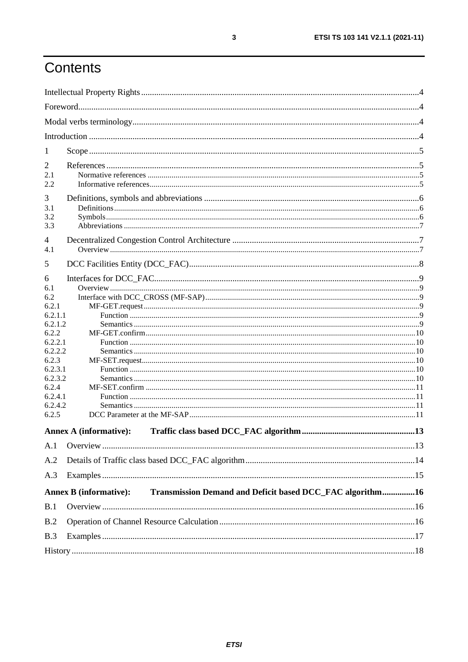## Contents

| 1                                                                                                                                                    |                                                                                            |  |
|------------------------------------------------------------------------------------------------------------------------------------------------------|--------------------------------------------------------------------------------------------|--|
| 2<br>2.1<br>2.2                                                                                                                                      |                                                                                            |  |
| 3<br>3.1<br>3.2<br>3.3                                                                                                                               |                                                                                            |  |
| 4<br>4.1                                                                                                                                             |                                                                                            |  |
| 5                                                                                                                                                    |                                                                                            |  |
| 6<br>6.1<br>6.2<br>6.2.1<br>6.2.1.1<br>6.2.1.2<br>6.2.2<br>6.2.2.1<br>6.2.2.2<br>6.2.3<br>6.2.3.1<br>6.2.3.2<br>6.2.4<br>6.2.4.1<br>6.2.4.2<br>6.2.5 |                                                                                            |  |
|                                                                                                                                                      | <b>Annex A (informative):</b>                                                              |  |
| A.1                                                                                                                                                  |                                                                                            |  |
| A.2                                                                                                                                                  |                                                                                            |  |
| A.3                                                                                                                                                  |                                                                                            |  |
|                                                                                                                                                      | Transmission Demand and Deficit based DCC_FAC algorithm16<br><b>Annex B</b> (informative): |  |
| B.1                                                                                                                                                  |                                                                                            |  |
| B.2                                                                                                                                                  |                                                                                            |  |
| B.3                                                                                                                                                  |                                                                                            |  |
|                                                                                                                                                      |                                                                                            |  |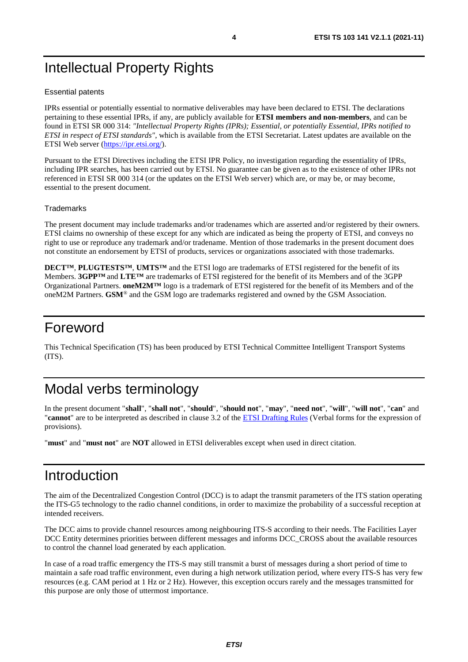## <span id="page-3-0"></span>Intellectual Property Rights

#### Essential patents

IPRs essential or potentially essential to normative deliverables may have been declared to ETSI. The declarations pertaining to these essential IPRs, if any, are publicly available for **ETSI members and non-members**, and can be found in ETSI SR 000 314: *"Intellectual Property Rights (IPRs); Essential, or potentially Essential, IPRs notified to ETSI in respect of ETSI standards"*, which is available from the ETSI Secretariat. Latest updates are available on the ETSI Web server [\(https://ipr.etsi.org/](https://ipr.etsi.org/)).

Pursuant to the ETSI Directives including the ETSI IPR Policy, no investigation regarding the essentiality of IPRs, including IPR searches, has been carried out by ETSI. No guarantee can be given as to the existence of other IPRs not referenced in ETSI SR 000 314 (or the updates on the ETSI Web server) which are, or may be, or may become, essential to the present document.

#### **Trademarks**

The present document may include trademarks and/or tradenames which are asserted and/or registered by their owners. ETSI claims no ownership of these except for any which are indicated as being the property of ETSI, and conveys no right to use or reproduce any trademark and/or tradename. Mention of those trademarks in the present document does not constitute an endorsement by ETSI of products, services or organizations associated with those trademarks.

**DECT™**, **PLUGTESTS™**, **UMTS™** and the ETSI logo are trademarks of ETSI registered for the benefit of its Members. **3GPP™** and **LTE™** are trademarks of ETSI registered for the benefit of its Members and of the 3GPP Organizational Partners. **oneM2M™** logo is a trademark of ETSI registered for the benefit of its Members and of the oneM2M Partners. **GSM**® and the GSM logo are trademarks registered and owned by the GSM Association.

## Foreword

This Technical Specification (TS) has been produced by ETSI Technical Committee Intelligent Transport Systems (ITS).

## Modal verbs terminology

In the present document "**shall**", "**shall not**", "**should**", "**should not**", "**may**", "**need not**", "**will**", "**will not**", "**can**" and "**cannot**" are to be interpreted as described in clause 3.2 of the [ETSI Drafting Rules](https://portal.etsi.org/Services/editHelp!/Howtostart/ETSIDraftingRules.aspx) (Verbal forms for the expression of provisions).

"**must**" and "**must not**" are **NOT** allowed in ETSI deliverables except when used in direct citation.

## Introduction

The aim of the Decentralized Congestion Control (DCC) is to adapt the transmit parameters of the ITS station operating the ITS-G5 technology to the radio channel conditions, in order to maximize the probability of a successful reception at intended receivers.

The DCC aims to provide channel resources among neighbouring ITS-S according to their needs. The Facilities Layer DCC Entity determines priorities between different messages and informs DCC\_CROSS about the available resources to control the channel load generated by each application.

In case of a road traffic emergency the ITS-S may still transmit a burst of messages during a short period of time to maintain a safe road traffic environment, even during a high network utilization period, where every ITS-S has very few resources (e.g. CAM period at 1 Hz or 2 Hz). However, this exception occurs rarely and the messages transmitted for this purpose are only those of uttermost importance.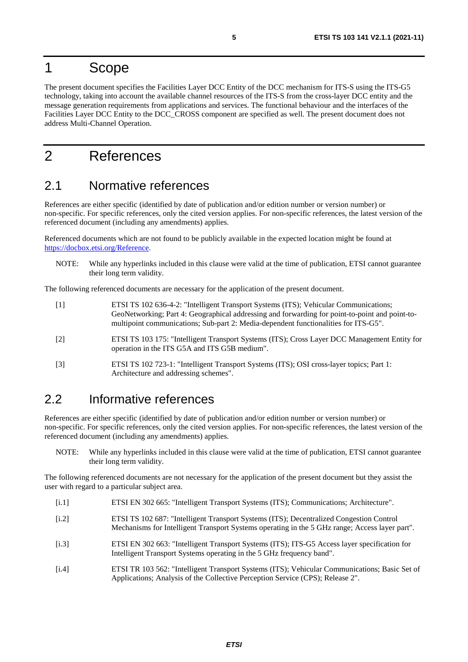## <span id="page-4-0"></span>1 Scope

The present document specifies the Facilities Layer DCC Entity of the DCC mechanism for ITS-S using the ITS-G5 technology, taking into account the available channel resources of the ITS-S from the cross-layer DCC entity and the message generation requirements from applications and services. The functional behaviour and the interfaces of the Facilities Layer DCC Entity to the DCC\_CROSS component are specified as well. The present document does not address Multi-Channel Operation.

## 2 References

### 2.1 Normative references

References are either specific (identified by date of publication and/or edition number or version number) or non-specific. For specific references, only the cited version applies. For non-specific references, the latest version of the referenced document (including any amendments) applies.

Referenced documents which are not found to be publicly available in the expected location might be found at <https://docbox.etsi.org/Reference>.

NOTE: While any hyperlinks included in this clause were valid at the time of publication, ETSI cannot guarantee their long term validity.

The following referenced documents are necessary for the application of the present document.

| $\lceil 1 \rceil$ | ETSI TS 102 636-4-2: "Intelligent Transport Systems (ITS); Vehicular Communications;<br>GeoNetworking; Part 4: Geographical addressing and forwarding for point-to-point and point-to-<br>multipoint communications; Sub-part 2: Media-dependent functionalities for ITS-G5". |
|-------------------|-------------------------------------------------------------------------------------------------------------------------------------------------------------------------------------------------------------------------------------------------------------------------------|
| $\lceil 2 \rceil$ | ETSI TS 103 175: "Intelligent Transport Systems (ITS); Cross Layer DCC Management Entity for<br>operation in the ITS G5A and ITS G5B medium".                                                                                                                                 |
| $\lceil 3 \rceil$ | ETSI TS 102 723-1: "Intelligent Transport Systems (ITS); OSI cross-layer topics; Part 1:<br>Architecture and addressing schemes".                                                                                                                                             |

### 2.2 Informative references

References are either specific (identified by date of publication and/or edition number or version number) or non-specific. For specific references, only the cited version applies. For non-specific references, the latest version of the referenced document (including any amendments) applies.

NOTE: While any hyperlinks included in this clause were valid at the time of publication, ETSI cannot guarantee their long term validity.

The following referenced documents are not necessary for the application of the present document but they assist the user with regard to a particular subject area.

- [i.1] ETSI EN 302 665: "Intelligent Transport Systems (ITS); Communications; Architecture".
- [i.2] ETSI TS 102 687: "Intelligent Transport Systems (ITS); Decentralized Congestion Control Mechanisms for Intelligent Transport Systems operating in the 5 GHz range; Access layer part".
- [i.3] ETSI EN 302 663: "Intelligent Transport Systems (ITS); ITS-G5 Access layer specification for Intelligent Transport Systems operating in the 5 GHz frequency band".
- [i.4] ETSI TR 103 562: "Intelligent Transport Systems (ITS); Vehicular Communications; Basic Set of Applications; Analysis of the Collective Perception Service (CPS); Release 2".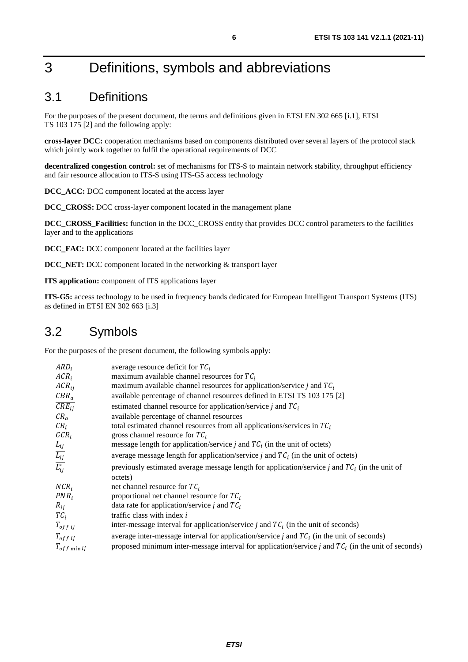## <span id="page-5-0"></span>3 Definitions, symbols and abbreviations

### 3.1 Definitions

For the purposes of the present document, the terms and definitions given in ETSI EN 302 665 [\[i.1](#page-4-0)], ETSI TS 103 175 [\[2](#page-4-0)] and the following apply:

**cross-layer DCC:** cooperation mechanisms based on components distributed over several layers of the protocol stack which jointly work together to fulfil the operational requirements of DCC

**decentralized congestion control:** set of mechanisms for ITS-S to maintain network stability, throughput efficiency and fair resource allocation to ITS-S using ITS-G5 access technology

**DCC\_ACC:** DCC component located at the access layer

**DCC\_CROSS:** DCC cross-layer component located in the management plane

**DCC\_CROSS\_Facilities:** function in the DCC\_CROSS entity that provides DCC control parameters to the facilities layer and to the applications

**DCC\_FAC:** DCC component located at the facilities layer

**DCC\_NET:** DCC component located in the networking & transport layer

**ITS application:** component of ITS applications layer

**ITS-G5:** access technology to be used in frequency bands dedicated for European Intelligent Transport Systems (ITS) as defined in ETSI EN 302 663 [\[i.3](#page-4-0)]

### 3.2 Symbols

For the purposes of the present document, the following symbols apply:

| $ARD_i$                              | average resource deficit for $TC_i$                                                                   |
|--------------------------------------|-------------------------------------------------------------------------------------------------------|
| $ACR_i$                              | maximum available channel resources for $TC_i$                                                        |
| $ACR_{ij}$                           | maximum available channel resources for application/service j and $TC_i$                              |
| $CBR_a$                              | available percentage of channel resources defined in ETSI TS 103 175 [2]                              |
| $\overline{CRE_{ii}}$                | estimated channel resource for application/service j and $TC_i$                                       |
| $CR_a$                               | available percentage of channel resources                                                             |
| $CR_i$                               | total estimated channel resources from all applications/services in $TC_i$                            |
| $GCR_i$                              | gross channel resource for $TC_i$                                                                     |
| $L_{ij}$                             | message length for application/service j and $TC_i$ (in the unit of octets)                           |
|                                      | average message length for application/service j and $TC_i$ (in the unit of octets)                   |
| $\frac{\overline{L_{ij}}}{L_{ij}^*}$ | previously estimated average message length for application/service j and $TC_i$ (in the unit of      |
|                                      | octets)                                                                                               |
| $NCR_i$                              | net channel resource for $TC_i$                                                                       |
| $PNR_i$                              | proportional net channel resource for $TC_i$                                                          |
| $R_{ij}$                             | data rate for application/service j and $TC_i$                                                        |
| $TC_i$                               | traffic class with index i                                                                            |
| $T_{off}$ ij                         | inter-message interval for application/service j and $TC_i$ (in the unit of seconds)                  |
| $T_{off}$ ij                         | average inter-message interval for application/service j and $TC_i$ (in the unit of seconds)          |
| $T_{off}$ min ij                     | proposed minimum inter-message interval for application/service j and $TC_i$ (in the unit of seconds) |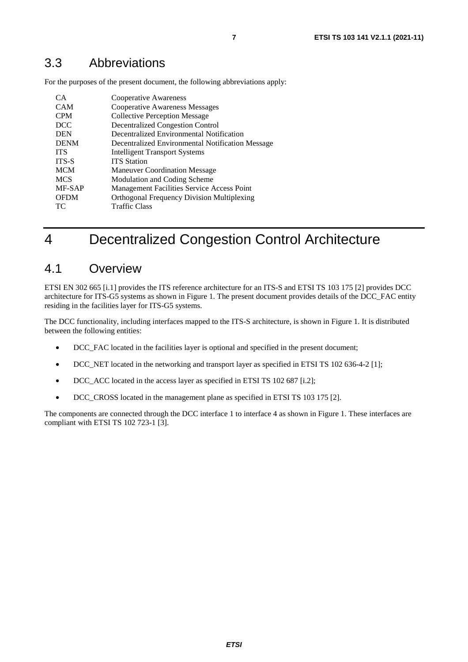## <span id="page-6-0"></span>3.3 Abbreviations

For the purposes of the present document, the following abbreviations apply:

| CA           | Cooperative Awareness                             |
|--------------|---------------------------------------------------|
| <b>CAM</b>   | <b>Cooperative Awareness Messages</b>             |
| <b>CPM</b>   | <b>Collective Perception Message</b>              |
| <b>DCC</b>   | <b>Decentralized Congestion Control</b>           |
| <b>DEN</b>   | Decentralized Environmental Notification          |
| <b>DENM</b>  | Decentralized Environmental Notification Message  |
| <b>ITS</b>   | <b>Intelligent Transport Systems</b>              |
| <b>ITS-S</b> | <b>ITS</b> Station                                |
| <b>MCM</b>   | <b>Maneuver Coordination Message</b>              |
| <b>MCS</b>   | Modulation and Coding Scheme                      |
| MF-SAP       | Management Facilities Service Access Point        |
| <b>OFDM</b>  | <b>Orthogonal Frequency Division Multiplexing</b> |
| ТC           | Traffic Class                                     |

## 4 Decentralized Congestion Control Architecture

### 4.1 Overview

ETSI EN 302 665 [\[i.1](#page-4-0)] provides the ITS reference architecture for an ITS-S and ETSI TS 103 175 [\[2](#page-4-0)] provides DCC architecture for ITS-G5 systems as shown in [Figure 1](#page-7-0). The present document provides details of the DCC\_FAC entity residing in the facilities layer for ITS-G5 systems.

The DCC functionality, including interfaces mapped to the ITS-S architecture, is shown in [Figure 1](#page-7-0). It is distributed between the following entities:

- DCC\_FAC located in the facilities layer is optional and specified in the present document;
- DCC\_NET located in the networking and transport layer as specified in ETSI TS 102 636-4-2 [\[1](#page-4-0)];
- DCC ACC located in the access layer as specified in ETSI TS 102 687 [\[i.2](#page-4-0)];
- DCC\_CROSS located in the management plane as specified in ETSI TS 103 175 [\[2](#page-4-0)].

The components are connected through the DCC interface 1 to interface 4 as shown in [Figure 1](#page-7-0). These interfaces are compliant with ETSI TS 102 723-1 [\[3](#page-4-0)].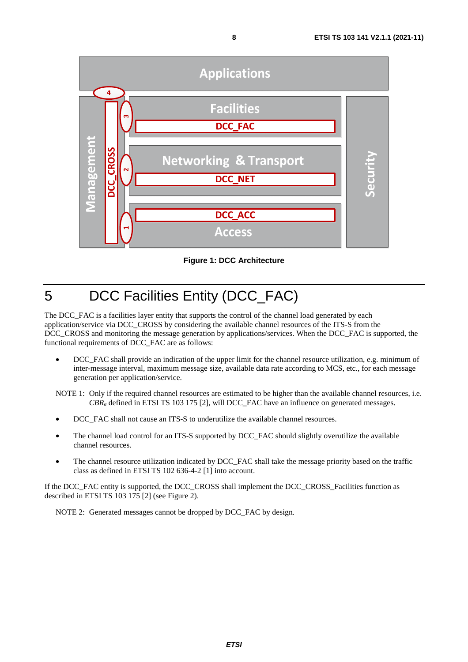<span id="page-7-0"></span>

**Figure 1: DCC Architecture** 

## 5 DCC Facilities Entity (DCC\_FAC)

The DCC<sub>FAC</sub> is a facilities layer entity that supports the control of the channel load generated by each application/service via DCC\_CROSS by considering the available channel resources of the ITS-S from the DCC\_CROSS and monitoring the message generation by applications/services. When the DCC\_FAC is supported, the functional requirements of DCC\_FAC are as follows:

DCC\_FAC shall provide an indication of the upper limit for the channel resource utilization, e.g. minimum of inter-message interval, maximum message size, available data rate according to MCS, etc., for each message generation per application/service.

NOTE 1: Only if the required channel resources are estimated to be higher than the available channel resources, i.e. *CBRa* defined in ETSI TS 103 175 [\[2](#page-4-0)], will DCC\_FAC have an influence on generated messages.

- DCC\_FAC shall not cause an ITS-S to underutilize the available channel resources.
- The channel load control for an ITS-S supported by DCC\_FAC should slightly overutilize the available channel resources.
- The channel resource utilization indicated by DCC\_FAC shall take the message priority based on the traffic class as defined in ETSI TS 102 636-4-2 [\[1](#page-4-0)] into account.

If the DCC\_FAC entity is supported, the DCC\_CROSS shall implement the DCC\_CROSS\_Facilities function as described in ETSI TS 103 175 [\[2](#page-4-0)] (see [Figure 2](#page-8-0)).

NOTE 2: Generated messages cannot be dropped by DCC\_FAC by design.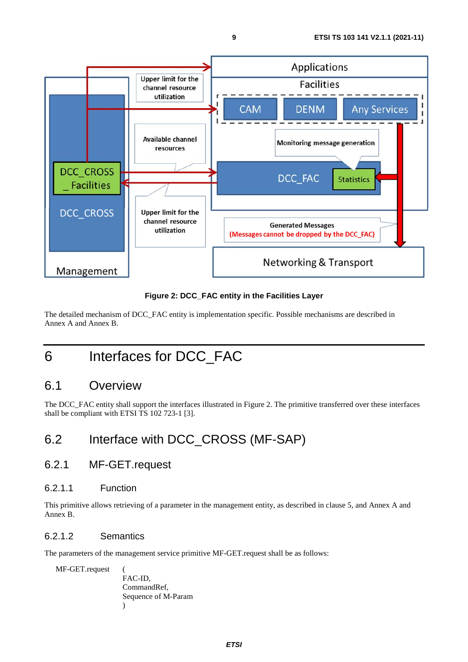<span id="page-8-0"></span>

**Figure 2: DCC\_FAC entity in the Facilities Layer** 

The detailed mechanism of DCC\_FAC entity is implementation specific. Possible mechanisms are described in [Annex A](#page-12-0) and [Annex B](#page-15-0).

## 6 Interfaces for DCC\_FAC

### 6.1 Overview

The DCC\_FAC entity shall support the interfaces illustrated in Figure 2. The primitive transferred over these interfaces shall be compliant with ETSI TS 102 723-1 [\[3](#page-4-0)].

## 6.2 Interface with DCC\_CROSS (MF-SAP)

### 6.2.1 MF-GET.request

### 6.2.1.1 Function

This primitive allows retrieving of a parameter in the management entity, as described in clause [5,](#page-7-0) and [Annex A](#page-12-0) and [Annex B](#page-15-0).

### 6.2.1.2 Semantics

The parameters of the management service primitive MF-GET.request shall be as follows:

MF-GET.request (

FAC-ID, CommandRef, Sequence of M-Param )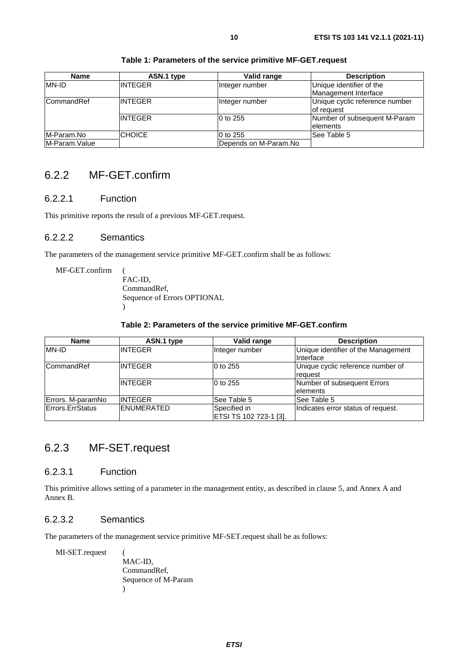<span id="page-9-0"></span>

| <b>Name</b>   | ASN.1 type     | Valid range           | <b>Description</b>                               |
|---------------|----------------|-----------------------|--------------------------------------------------|
| MN-ID         | <b>INTEGER</b> | Integer number        | Unique identifier of the<br>Management Interface |
| CommandRef    | <b>INTEGER</b> | Integer number        | Unique cyclic reference number<br>of request     |
|               | <b>INTEGER</b> | 0 to 255              | Number of subsequent M-Param<br><b>lelements</b> |
| M-Param.No    | <b>CHOICE</b>  | 0 to 255              | See Table 5                                      |
| M-Param.Value |                | Depends on M-Param.No |                                                  |

#### **Table 1: Parameters of the service primitive MF-GET.request**

### 6.2.2 MF-GET.confirm

### 6.2.2.1 Function

This primitive reports the result of a previous MF-GET.request.

### 6.2.2.2 Semantics

The parameters of the management service primitive MF-GET.confirm shall be as follows:

MF-GET.confirm (

FAC-ID, CommandRef, Sequence of Errors OPTIONAL  $\lambda$ 

#### **Table 2: Parameters of the service primitive MF-GET.confirm**

| <b>Name</b>       | ASN.1 type        | Valid range            | <b>Description</b>                  |
|-------------------|-------------------|------------------------|-------------------------------------|
| <b>IMN-ID</b>     | <b>INTEGER</b>    | Integer number         | Unique identifier of the Management |
|                   |                   |                        | Interface                           |
| <b>CommandRef</b> | <b>INTEGER</b>    | 0 to 255               | Unique cyclic reference number of   |
|                   |                   |                        | reauest                             |
|                   | <b>INTEGER</b>    | 0 to 255               | Number of subsequent Errors         |
|                   |                   |                        | <b>lelements</b>                    |
| Errors. M-paramNo | <b>INTEGER</b>    | See Table 5            | See Table 5                         |
| Errors.ErrStatus  | <b>ENUMERATED</b> | Specified in           | Indicates error status of request.  |
|                   |                   | ETSI TS 102 723-1 [3]. |                                     |

### 6.2.3 MF-SET.request

#### 6.2.3.1 Function

This primitive allows setting of a parameter in the management entity, as described in clause [5](#page-7-0), and [Annex A](#page-12-0) and [Annex B](#page-15-0).

### 6.2.3.2 Semantics

The parameters of the management service primitive MF-SET.request shall be as follows:

MI-SET.request (

MAC-ID, CommandRef, Sequence of M-Param )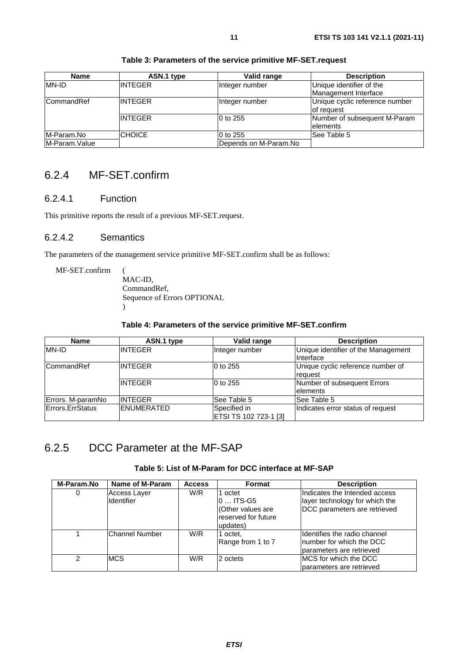<span id="page-10-0"></span>

| <b>Name</b>   | ASN.1 type     | Valid range           | <b>Description</b>                               |
|---------------|----------------|-----------------------|--------------------------------------------------|
| MN-ID         | <b>INTEGER</b> | Integer number        | Unique identifier of the<br>Management Interface |
| CommandRef    | <b>INTEGER</b> | Integer number        | Unique cyclic reference number<br>of request     |
|               | <b>INTEGER</b> | 0 to 255              | Number of subsequent M-Param<br><b>lelements</b> |
| M-Param.No    | <b>CHOICE</b>  | 0 to 255              | lSee Table 5                                     |
| M-Param.Value |                | Depends on M-Param.No |                                                  |

#### **Table 3: Parameters of the service primitive MF-SET.request**

### 6.2.4 MF-SET.confirm

### 6.2.4.1 Function

This primitive reports the result of a previous MF-SET.request.

### 6.2.4.2 Semantics

The parameters of the management service primitive MF-SET.confirm shall be as follows:

MF-SET.confirm (

MAC-ID, CommandRef, Sequence of Errors OPTIONAL  $\lambda$ 

#### **Table 4: Parameters of the service primitive MF-SET.confirm**

| <b>Name</b>        | ASN.1 type        | Valid range           | <b>Description</b>                  |
|--------------------|-------------------|-----------------------|-------------------------------------|
| <b>IMN-ID</b>      | INTEGER           | Integer number        | Unique identifier of the Management |
|                    |                   |                       | Interface                           |
| <b>ICommandRef</b> | <b>INTEGER</b>    | 10 to 255             | Unique cyclic reference number of   |
|                    |                   |                       | request                             |
|                    | INTEGER           | 10 to 255             | Number of subsequent Errors         |
|                    |                   |                       | <b>lelements</b>                    |
| Errors. M-paramNo  | <b>INTEGER</b>    | See Table 5           | See Table 5                         |
| Errors.ErrStatus   | <b>ENUMERATED</b> | Specified in          | Indicates error status of request   |
|                    |                   | ETSI TS 102 723-1 [3] |                                     |

### 6.2.5 DCC Parameter at the MF-SAP

#### **Table 5: List of M-Param for DCC interface at MF-SAP**

| M-Param.No | Name of M-Param                   | <b>Access</b> | Format                                                                        | <b>Description</b>                                                                              |
|------------|-----------------------------------|---------------|-------------------------------------------------------------------------------|-------------------------------------------------------------------------------------------------|
| 0          | Access Layer<br><b>Identifier</b> | W/R           | 1 octet<br>$0$ ITS-G5<br>(Other values are<br>reserved for future<br>updates) | Indicates the Intended access<br>layer technology for which the<br>DCC parameters are retrieved |
|            | Channel Number                    | W/R           | 1 octet.<br>Range from 1 to 7                                                 | Identifies the radio channel<br>Inumber for which the DCC<br>parameters are retrieved           |
| າ          | <b>MCS</b>                        | W/R           | 2 octets                                                                      | <b>IMCS</b> for which the DCC<br>parameters are retrieved                                       |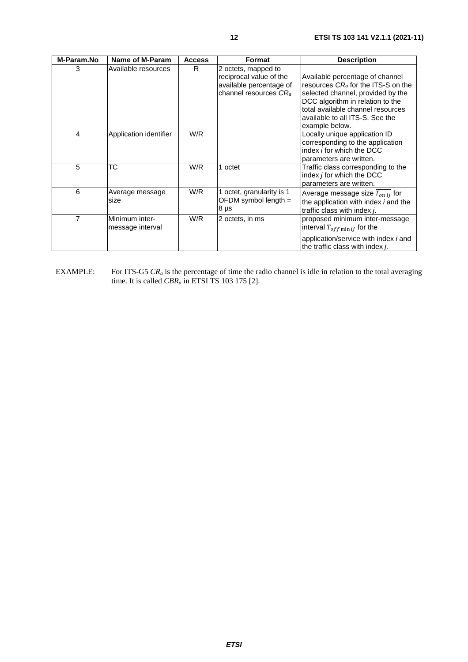| M-Param.No     | Name of M-Param                    | <b>Access</b> | <b>Format</b>                                                                                                  | <b>Description</b>                                                                                                                                                                                                                                   |  |
|----------------|------------------------------------|---------------|----------------------------------------------------------------------------------------------------------------|------------------------------------------------------------------------------------------------------------------------------------------------------------------------------------------------------------------------------------------------------|--|
| 3              | Available resources                | R.            | 2 octets, mapped to<br>reciprocal value of the<br>available percentage of<br>channel resources CR <sub>a</sub> | Available percentage of channel<br>resources CR <sub>a</sub> for the ITS-S on the<br>selected channel, provided by the<br>DCC algorithm in relation to the<br>total available channel resources<br>available to all ITS-S. See the<br>example below. |  |
| $\overline{4}$ | Application identifier             | W/R           |                                                                                                                | Locally unique application ID<br>corresponding to the application<br>index <i>i</i> for which the DCC<br>parameters are written.                                                                                                                     |  |
| 5              | ТC                                 | W/R           | 1 octet                                                                                                        | Traffic class corresponding to the<br>index <i>j</i> for which the DCC<br>parameters are written.                                                                                                                                                    |  |
| 6              | Average message<br>size            | W/R           | 1 octet, granularity is 1<br>OFDM symbol length $=$<br>$8 \mu s$                                               | Average message size $T_{onij}$ for<br>the application with index <i>i</i> and the<br>traffic class with index <i>i</i> .                                                                                                                            |  |
| 7              | Minimum inter-<br>message interval | W/R           | 2 octets, in ms                                                                                                | proposed minimum inter-message<br>interval $T_{off \min i j}$ for the<br>application/service with index <i>i</i> and<br>the traffic class with index j.                                                                                              |  |

EXAMPLE: For ITS-G5  $CR_a$  is the percentage of time the radio channel is idle in relation to the total averaging time. It is called *CBRa* in ETSI TS 103 175 [\[2](#page-4-0)].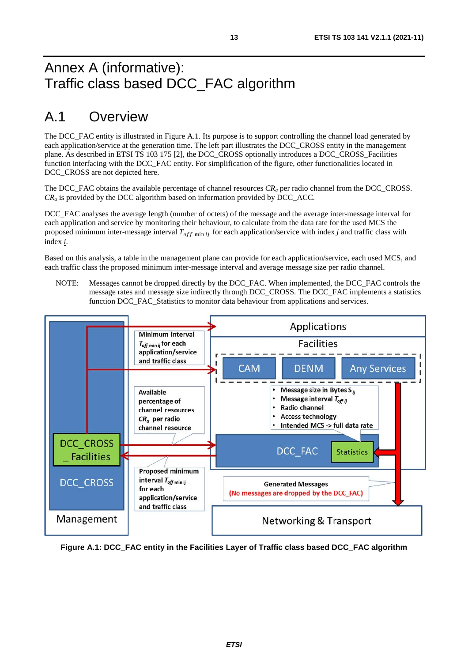## <span id="page-12-0"></span>Annex A (informative): Traffic class based DCC\_FAC algorithm

## A.1 Overview

The DCC\_FAC entity is illustrated in Figure A.1. Its purpose is to support controlling the channel load generated by each application/service at the generation time. The left part illustrates the DCC\_CROSS entity in the management plane. As described in ETSI TS 103 175 [\[2](#page-4-0)], the DCC\_CROSS optionally introduces a DCC\_CROSS\_Facilities function interfacing with the DCC\_FAC entity. For simplification of the figure, other functionalities located in DCC\_CROSS are not depicted here.

The DCC\_FAC obtains the available percentage of channel resources *CR<sub>a</sub>* per radio channel from the DCC\_CROSS. *CRa* is provided by the DCC algorithm based on information provided by DCC\_ACC.

DCC\_FAC analyses the average length (number of octets) of the message and the average inter-message interval for each application and service by monitoring their behaviour, to calculate from the data rate for the used MCS the proposed minimum inter-message interval  $T_{off \text{min} ij}$  for each application/service with index *j* and traffic class with index *i* index *i*.

Based on this analysis, a table in the management plane can provide for each application/service, each used MCS, and each traffic class the proposed minimum inter-message interval and average message size per radio channel.

NOTE: Messages cannot be dropped directly by the DCC\_FAC. When implemented, the DCC\_FAC controls the message rates and message size indirectly through DCC\_CROSS. The DCC\_FAC implements a statistics function DCC\_FAC\_Statistics to monitor data behaviour from applications and services.



**Figure A.1: DCC\_FAC entity in the Facilities Layer of Traffic class based DCC\_FAC algorithm**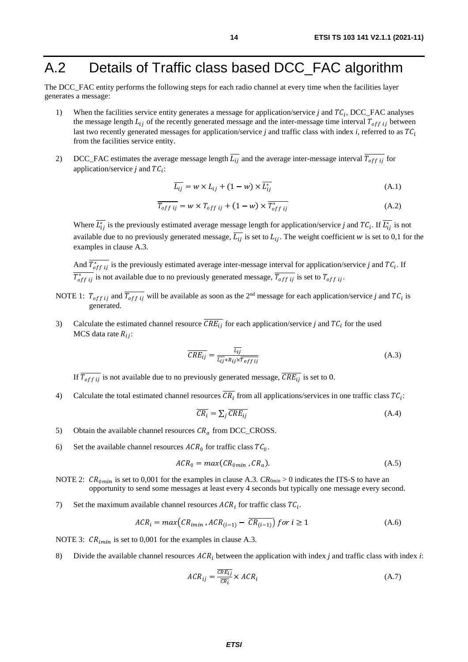## <span id="page-13-0"></span>A.2 Details of Traffic class based DCC\_FAC algorithm

The DCC\_FAC entity performs the following steps for each radio channel at every time when the facilities layer generates a message:

- 1) When the facilities service entity generates a message for application/service *j* and  $TC_i$ , DCC\_FAC analyses the message length  $L_{ij}$  of the recently generated message and the inter-message time interval  $T_{off}$  ij between last two recently generated messages for application/service *j* and traffic class with index *i*, referred to as  $TC_i$ from the facilities service entity.
- 2) DCC\_FAC estimates the average message length  $L_{ij}$  and the average inter-message interval  $T_{off}$  ij for application/service *j* and  $TC_i$ :

$$
\overline{L_{ij}} = w \times L_{ij} + (1 - w) \times \overline{L_{ij}^*}
$$
\n(A.1)

$$
\overline{T_{off\ ij}} = w \times T_{off\ ij} + (1 - w) \times \overline{T_{off\ ij}} \tag{A.2}
$$

Where  $L_{ij}^*$  is the previously estimated average message length for application/service *j* and  $TC_i$ . If  $L_{ij}^*$  is not available due to no previously generated message,  $L_{ij}$  is set to  $L_{ij}$ . The weight coefficient w is set to 0,1 for the examples in clause [A.3](#page-14-0).

And  $T_{off\ ij}^*$  is the previously estimated average inter-message interval for application/service *j* and  $TC_i$ . If  $T_{off\ ij}^*$  is not available due to no previously generated message,  $T_{off\ ij}$  is set to  $T_{off\ ij}$ .

- NOTE 1:  $T_{off\ ij}$  and  $\overline{T_{off\ ij}}$  will be available as soon as the 2<sup>nd</sup> message for each application/service *j* and  $TC_i$  is generated.
- 3) Calculate the estimated channel resource  $CRE_{ij}$  for each application/service *j* and  $TC_i$  for the used MCS data rate  $R_{ij}$ :

$$
\overline{CRE_{ij}} = \frac{\overline{L_{ij}}}{\overline{L_{ij} + R_{ij} \times T_{off \;ij}}}
$$
\n(A.3)

If  $T_{off\ ij}$  is not available due to no previously generated message,  $CRE_{ij}$  is set to 0.

4) Calculate the total estimated channel resources  $CR_i$  from all applications/services in one traffic class  $TC_i$ :

$$
\overline{CR_i} = \sum_j \overline{CRE_{ij}} \tag{A.4}
$$

- 5) Obtain the available channel resources  $CR_a$  from DCC\_CROSS.
- 6) Set the available channel resources  $ACR_0$  for traffic class  $TC_0$ .

$$
ACR_0 = max(CR_{0min}, CR_a). \tag{A.5}
$$

- NOTE 2:  $CR_{0min}$  is set to 0,001 for the examples in clause [A.3](#page-14-0).  $CR_{0min} > 0$  indicates the ITS-S to have an opportunity to send some messages at least every 4 seconds but typically one message every second.
- 7) Set the maximum available channel resources  $ACR_i$  for traffic class  $TC_i$ .

$$
ACR_i = max(CR_{imin}, ACR_{(i-1)} - CR_{(i-1)}) for i \ge 1
$$
\n(A.6)

NOTE 3:  $CR_{imin}$  is set to 0,001 for the examples in clause [A.3](#page-14-0).

8) Divide the available channel resources  $ACR_i$  between the application with index *j* and traffic class with index *i*:

$$
ACR_{ij} = \frac{\overline{CRE_{ij}}}{\overline{CR_i}} \times ACR_i
$$
\n(A.7)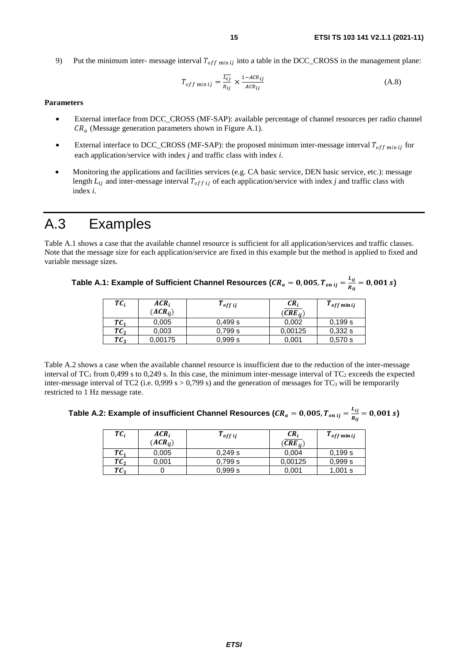<span id="page-14-0"></span>9) Put the minimum inter- message interval  $T_{off,min\, ij}$  into a table in the DCC\_CROSS in the management plane:

$$
T_{off \min ij} = \frac{\overline{L_{ij}}}{R_{ij}} \times \frac{1 - ACR_{ij}}{ACR_{ij}}
$$
(A.8)

#### **Parameters**

- External interface from DCC\_CROSS (MF-SAP): available percentage of channel resources per radio channel  $CR_a$  (Message generation parameters shown in [Figure A.1](#page-12-0)).
- External interface to DCC\_CROSS (MF-SAP): the proposed minimum inter-message interval  $T_{off \text{min}}$  ij for each application/service with index *j* and traffic class with index *i*.
- Monitoring the applications and facilities services (e.g. CA basic service, DEN basic service, etc.): message length  $L_{ij}$  and inter-message interval  $T_{off\ ij}$  of each application/service with index *j* and traffic class with index *i*.

## A.3 Examples

Table A.1 shows a case that the available channel resource is sufficient for all application/services and traffic classes. Note that the message size for each application/service are fixed in this example but the method is applied to fixed and variable message sizes.

| Table A.1: Example of Sufficient Channel Resources ( $CR_a = 0$ , 005, $T_{onij} = \frac{E_{ij}}{R_{ij}} = 0$ , 001 s) |  |  |
|------------------------------------------------------------------------------------------------------------------------|--|--|
|------------------------------------------------------------------------------------------------------------------------|--|--|

| ТC,             | $ACR_i$<br>$(ACR_{ii})$ | $r_{offij}$ | $CR_i$<br>$(CRE_{ii})$ | $T_{off}$ minij |
|-----------------|-------------------------|-------------|------------------------|-----------------|
| $TC_1$          | 0,005                   | 0,499 s     | 0,002                  | 0.199 s         |
| $TC_2$          | 0,003                   | 0,799 s     | 0,00125                | 0,332s          |
| TC <sub>3</sub> | 0,00175                 | 0.999 s     | 0,001                  | 0.570 s         |
|                 |                         |             |                        |                 |

Table A.2 shows a case when the available channel resource is insufficient due to the reduction of the inter-message interval of  $TC_1$  from 0,499 s to 0,249 s. In this case, the minimum inter-message interval of  $TC_2$  exceeds the expected inter-message interval of TC2 (i.e.  $0,999 \text{ s} > 0,799 \text{ s}$ ) and the generation of messages for TC<sub>3</sub> will be temporarily restricted to 1 Hz message rate.

Table A.2: Example of insufficient Channel Resources ( $CR_a = 0$ , 005,  $T_{on\;ij} = \frac{\nu_{ij}}{R_{ij}} = 0$ , 001 s)

| $TC_i$          | $ACR_i$<br>$(ACR_{ii})$ | $T_{offij}$ | $CR_i$<br>$(CRE_{ii})$ | $T_{off}$ minij |
|-----------------|-------------------------|-------------|------------------------|-----------------|
| $TC_1$          | 0,005                   | 0,249 s     | 0,004                  | 0.199 s         |
| TC <sub>2</sub> | 0,001                   | 0,799 s     | 0,00125                | 0.999 s         |
| TC <sub>2</sub> |                         | 0.999 s     | 0,001                  | 1,001 s         |
|                 |                         |             |                        |                 |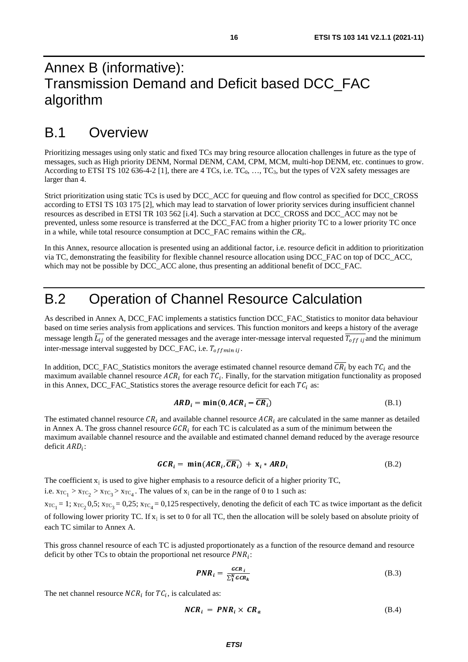## <span id="page-15-0"></span>Annex B (informative): Transmission Demand and Deficit based DCC\_FAC algorithm

## B.1 Overview

Prioritizing messages using only static and fixed TCs may bring resource allocation challenges in future as the type of messages, such as High priority DENM, Normal DENM, CAM, CPM, MCM, multi-hop DENM, etc. continues to grow. According to ETSI TS 102 636-4-2 [\[1](#page-4-0)], there are 4 TCs, i.e.  $TC_0$ , ...,  $TC_3$ , but the types of V2X safety messages are larger than 4.

Strict prioritization using static TCs is used by DCC\_ACC for queuing and flow control as specified for DCC\_CROSS according to ETSI TS 103 175 [\[2](#page-4-0)], which may lead to starvation of lower priority services during insufficient channel resources as described in ETSI TR 103 562 [\[i.4](#page-4-0)]. Such a starvation at DCC\_CROSS and DCC\_ACC may not be prevented, unless some resource is transferred at the DCC\_FAC from a higher priority TC to a lower priority TC once in a while, while total resource consumption at DCC\_FAC remains within the *CRa*.

In this Annex, resource allocation is presented using an additional factor, i.e. resource deficit in addition to prioritization via TC, demonstrating the feasibility for flexible channel resource allocation using DCC\_FAC on top of DCC\_ACC, which may not be possible by DCC\_ACC alone, thus presenting an additional benefit of DCC\_FAC.

## B.2 Operation of Channel Resource Calculation

As described in Annex A, DCC\_FAC implements a statistics function DCC\_FAC\_Statistics to monitor data behaviour based on time series analysis from applications and services. This function monitors and keeps a history of the average message length  $L_{ij}$  of the generated messages and the average inter-message interval requested  $T_{off}$  ij and the minimum inter-message interval suggested by DCC\_FAC, i.e.  $T_{offmin}$  ij.

In addition, DCC\_FAC\_Statistics monitors the average estimated channel resource demand  $CR_i$  by each  $TC_i$  and the maximum available channel resource  $ACR_i$  for each  $TC_i$ . Finally, for the starvation mitigation functionality as proposed in this Annex, DCC\_FAC\_Statistics stores the average resource deficit for each  $TC_i$  as:

$$
ARD_i = \min(0, ACR_i - \overline{CR_i})
$$
 (B.1)

The estimated channel resource  $CR_i$  and available channel resource  $ACR_i$  are calculated in the same manner as detailed<br>in Annex A. The gross channel resource  $CCR_i$  for each TC is calculated as a sum of the minimum between in Annex A. The gross channel resource  $GCR_i$  for each TC is calculated as a sum of the minimum between the maximum available channel resource and the available and estimated channel demand reduced by the average is maximum available channel resource and the available and estimated channel demand reduced by the average resource deficit  $ARD_i$ :

$$
GCR_i = \min(ACR_i, \overline{CR_i}) + \mathbf{x}_i * ARD_i \tag{B.2}
$$

The coefficient  $x_i$  is used to give higher emphasis to a resource deficit of a higher priority TC,

i.e.  $x_{TC_1} > x_{TC_2} > x_{TC_3} > x_{TC_4}$ . The values of  $x_i$  can be in the range of 0 to 1 such as:  $x_{TC_1} = 1$ ;  $x_{TC_2} = 0.5$ ;  $x_{TC_3} = 0.25$ ;  $x_{TC_4} = 0.125$  respectively, denoting the deficit of each TC as twice important as the deficit of following lower priority TC. If  $x_i$  is set to 0 for all TC, then the allocation will be solely based on absolute prioity of each TC similar to Annex A.

This gross channel resource of each TC is adjusted proportionately as a function of the resource demand and resource deficit by other TCs to obtain the proportional net resource  $PNR_i$ :

$$
PNR_i = \frac{GCR_i}{\sum_{1}^{N} GCR_k}
$$
 (B.3)

The net channel resource  $NCR_i$  for  $TC_i$ , is calculated as:

$$
NCR_i = PNR_i \times CR_a \tag{B.4}
$$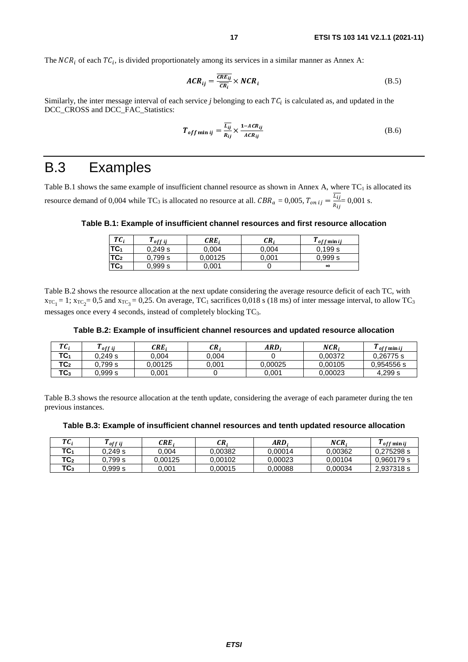<span id="page-16-0"></span>The  $NCR_i$  of each  $TC_i$ , is divided proportionately among its services in a similar manner as Annex A:

$$
ACR_{ij} = \frac{\overline{CRE_{ij}}}{\overline{CR_i}} \times NCR_i
$$
 (B.5)

Similarly, the inter message interval of each service *j* belonging to each  $TC_i$  is calculated as, and updated in the DCC. CROSS and DCC. EAC. Statistics: DCC\_CROSS and DCC\_FAC\_Statistics:

$$
T_{off\min ij} = \frac{\overline{L_{ij}}}{R_{ij}} \times \frac{1 - ACR_{ij}}{ACR_{ij}}
$$
(B.6)

## B.3 Examples

Table B.1 shows the same example of insufficient channel resource as shown in Annex A, where  $TC_1$  is allocated its resource demand of 0,004 while TC<sub>3</sub> is allocated no resource at all.  $CBR_a = 0,005$ ,  $T_{onij} = \frac{v_{ij}}{R_{ij}}$  $= 0,001$  s.

#### **Table B.1: Example of insufficient channel resources and first resource allocation**

| $TC_i$          | off ij  | $CRE_i$ | CR.   | <sup>1</sup> off min ij |
|-----------------|---------|---------|-------|-------------------------|
| TC <sub>1</sub> | 0,249 s | 0.004   | 0,004 | 0.199 s                 |
| TC <sub>2</sub> | 0,799 s | 0,00125 | 0.001 | 0.999 s                 |
| TC <sub>3</sub> | 0.999 s | 0.001   |       | $\infty$                |
|                 |         |         |       |                         |

Table B.2 shows the resource allocation at the next update considering the average resource deficit of each TC, with  $x_{TC_1} = 1$ ;  $x_{TC_2} = 0.5$  and  $x_{TC_3} = 0.25$ . On average, TC<sub>1</sub> sacrifices 0.018 s (18 ms) of inter message interval, to allow TC<sub>3</sub> messages once every 4 seconds, instead of completely blocking TC3.

#### **Table B.2: Example of insufficient channel resources and updated resource allocation**

| T C<br>v               | off ij  | CRE.    | CR.   | ARD.    | NCR.    | m<br>" off min ij |
|------------------------|---------|---------|-------|---------|---------|-------------------|
| TC <sub>1</sub>        | 0.249 s | 004.ر   | 0.004 |         | 0.00372 | 0,26775 s         |
| TC <sub>2</sub>        | 0.799 s | 0.00125 | 0.001 | 0.00025 | 0.00105 | 0.954556 s        |
| $T^{\wedge}$<br>3 ما ا | 0.999 s | 0.001   |       | 0.001   | 0.00023 | 4.299 s           |

Table B.3 shows the resource allocation at the tenth update, considering the average of each parameter during the ten previous instances.

**Table B.3: Example of insufficient channel resources and tenth updated resource allocation**

| т с<br>u,       | $\mathbf{m}$<br>off i j | CRE.    | CR.     | ARD.    | NCR     | $\mathbf{m}$<br><sup>1</sup> off min ij |
|-----------------|-------------------------|---------|---------|---------|---------|-----------------------------------------|
| TC1             | 0.249 s                 | 0.004   | 0.00382 | 0.00014 | 0.00362 | 0.275298 s                              |
| TC <sub>2</sub> | J.799 s                 | 0.00125 | 0.00102 | 0.00023 | 0.00104 | 0.960179 s                              |
| $TC_3$          | J.999 s                 | 0.001   | 0.00015 | 0.00088 | 0.00034 | 2.937318 s                              |